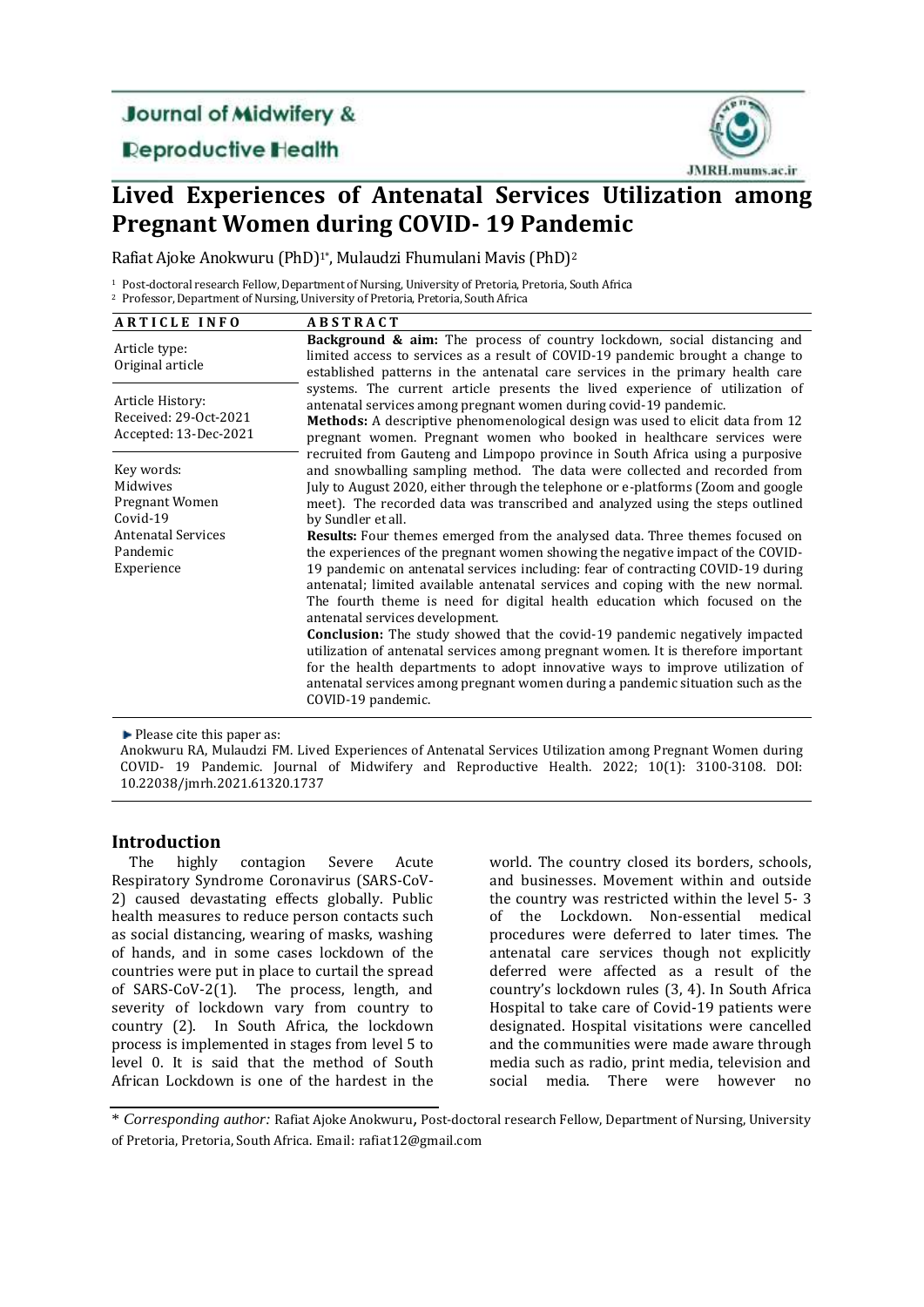## **Journal of Midwifery &**

## **Deproductive Health**



# **Lived Experiences of Antenatal Services Utilization among Pregnant Women during COVID- 19 Pandemic**

Rafiat Ajoke Anokwuru (PhD)<sup>1\*</sup>, Mulaudzi Fhumulani Mavis (PhD)<sup>2</sup>

<sup>1</sup> Post-doctoral research Fellow, Department of Nursing, University of Pretoria, Pretoria, South Africa <sup>2</sup> Professor, Department of Nursing, University of Pretoria, Pretoria, South Africa

| <b>ARTICLE INFO</b>                                                                                         | <b>ABSTRACT</b>                                                                                                                                                                                                                                                                                                                                                                                                                                                                                                                                                                                                                                                                                           |
|-------------------------------------------------------------------------------------------------------------|-----------------------------------------------------------------------------------------------------------------------------------------------------------------------------------------------------------------------------------------------------------------------------------------------------------------------------------------------------------------------------------------------------------------------------------------------------------------------------------------------------------------------------------------------------------------------------------------------------------------------------------------------------------------------------------------------------------|
| Article type:<br>Original article                                                                           | Background & aim: The process of country lockdown, social distancing and<br>limited access to services as a result of COVID-19 pandemic brought a change to<br>established patterns in the antenatal care services in the primary health care                                                                                                                                                                                                                                                                                                                                                                                                                                                             |
| Article History:<br>Received: 29-Oct-2021<br>Accepted: 13-Dec-2021                                          | systems. The current article presents the lived experience of utilization of<br>antenatal services among pregnant women during covid-19 pandemic.<br>Methods: A descriptive phenomenological design was used to elicit data from 12<br>pregnant women. Pregnant women who booked in healthcare services were                                                                                                                                                                                                                                                                                                                                                                                              |
| Key words:<br>Midwives<br>Pregnant Women<br>Covid-19<br><b>Antenatal Services</b><br>Pandemic<br>Experience | recruited from Gauteng and Limpopo province in South Africa using a purposive<br>and snowballing sampling method. The data were collected and recorded from<br>July to August 2020, either through the telephone or e-platforms (Zoom and google<br>meet). The recorded data was transcribed and analyzed using the steps outlined<br>by Sundler et all.<br><b>Results:</b> Four themes emerged from the analysed data. Three themes focused on<br>the experiences of the pregnant women showing the negative impact of the COVID-<br>19 pandemic on antenatal services including: fear of contracting COVID-19 during<br>antenatal; limited available antenatal services and coping with the new normal. |
|                                                                                                             | The fourth theme is need for digital health education which focused on the<br>antenatal services development.<br><b>Conclusion:</b> The study showed that the covid-19 pandemic negatively impacted<br>utilization of antenatal services among pregnant women. It is therefore important<br>for the health departments to adopt innovative ways to improve utilization of<br>antenatal services among pregnant women during a pandemic situation such as the<br>COVID-19 pandemic.                                                                                                                                                                                                                        |

**Please cite this paper as:** 

Anokwuru RA, Mulaudzi FM. Lived Experiences of Antenatal Services Utilization among Pregnant Women during COVID- 19 Pandemic. Journal of Midwifery and Reproductive Health. 2022; 10(1): 3100-3108. DOI: 10.22038/jmrh.2021.61320.1737

## **Introduction**

The highly contagion Severe Acute Respiratory Syndrome Coronavirus (SARS-CoV-2) caused devastating effects globally. Public health measures to reduce person contacts such as social distancing, wearing of masks, washing of hands, and in some cases lockdown of the countries were put in place to curtail the spread of SARS-CoV-2(1). The process, length, and severity of lockdown vary from country to country (2). In South Africa, the lockdown process is implemented in stages from level 5 to level 0. It is said that the method of South African Lockdown is one of the hardest in the

world. The country closed its borders, schools, and businesses. Movement within and outside the country was restricted within the level 5- 3 of the Lockdown. Non-essential medical procedures were deferred to later times. The antenatal care services though not explicitly deferred were affected as a result of the country's lockdown rules (3, 4). In South Africa Hospital to take care of Covid-19 patients were designated. Hospital visitations were cancelled and the communities were made aware through media such as radio, print media, television and social media. There were however

\* *Corresponding author:* Rafiat Ajoke Anokwuru, Post-doctoral research Fellow, Department of Nursing, University of Pretoria, Pretoria, South Africa. Email: rafiat12@gmail.com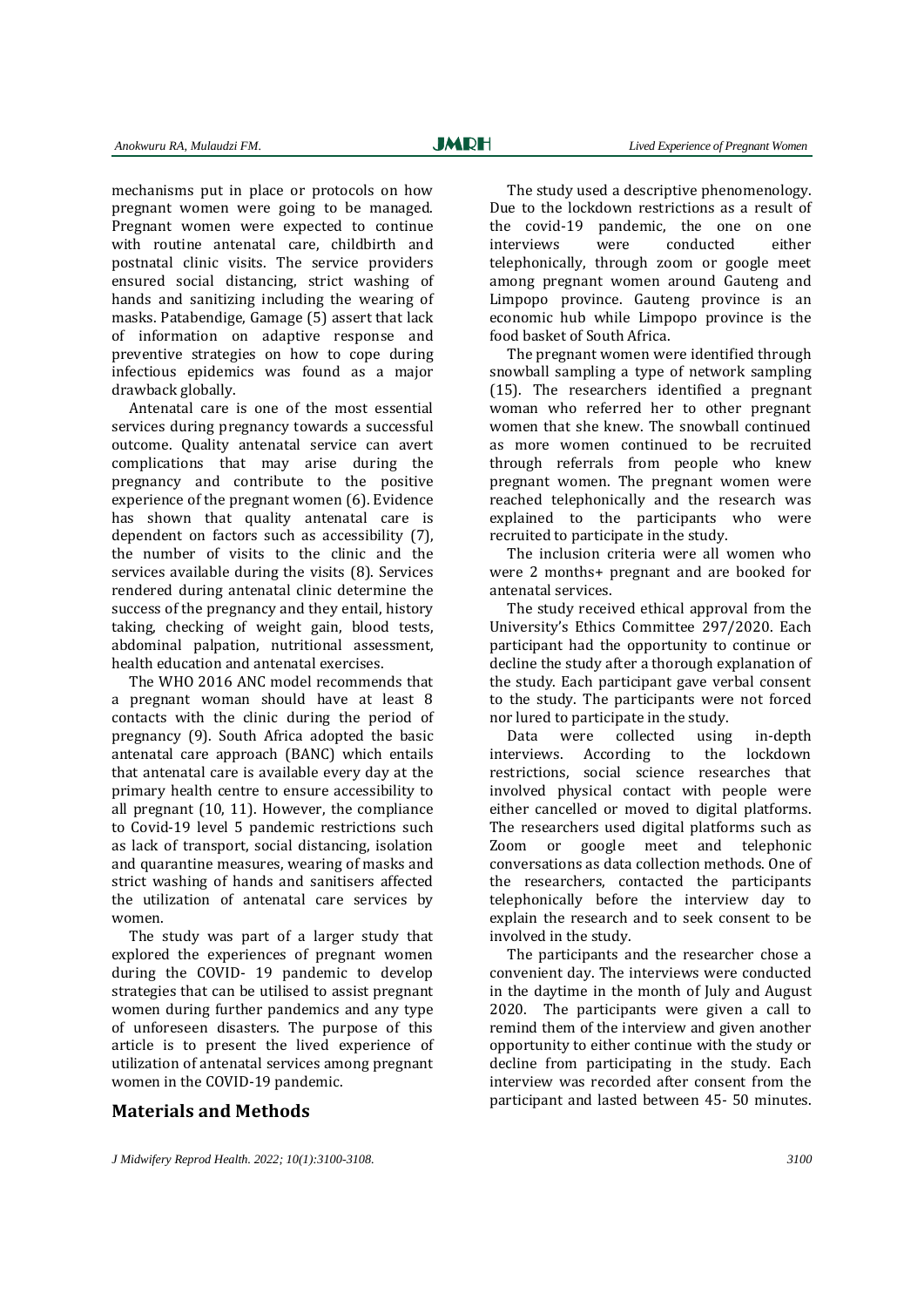mechanisms put in place or protocols on how pregnant women were going to be managed. Pregnant women were expected to continue with routine antenatal care, childbirth and postnatal clinic visits. The service providers ensured social distancing, strict washing of hands and sanitizing including the wearing of masks. Patabendige, Gamage (5) assert that lack of information on adaptive response and preventive strategies on how to cope during infectious epidemics was found as a major drawback globally.

Antenatal care is one of the most essential services during pregnancy towards a successful outcome. Quality antenatal service can avert complications that may arise during the pregnancy and contribute to the positive experience of the pregnant women (6). Evidence has shown that quality antenatal care is dependent on factors such as accessibility (7), the number of visits to the clinic and the services available during the visits (8). Services rendered during antenatal clinic determine the success of the pregnancy and they entail, history taking, checking of weight gain, blood tests, abdominal palpation, nutritional assessment, health education and antenatal exercises.

The WHO 2016 ANC model recommends that a pregnant woman should have at least 8 contacts with the clinic during the period of pregnancy (9). South Africa adopted the basic antenatal care approach (BANC) which entails that antenatal care is available every day at the primary health centre to ensure accessibility to all pregnant (10, 11). However, the compliance to Covid-19 level 5 pandemic restrictions such as lack of transport, social distancing, isolation and quarantine measures, wearing of masks and strict washing of hands and sanitisers affected the utilization of antenatal care services by women.

The study was part of a larger study that explored the experiences of pregnant women during the COVID- 19 pandemic to develop strategies that can be utilised to assist pregnant women during further pandemics and any type of unforeseen disasters. The purpose of this article is to present the lived experience of utilization of antenatal services among pregnant women in the COVID-19 pandemic.

**Materials and Methods**

The study used a descriptive phenomenology. Due to the lockdown restrictions as a result of the covid-19 pandemic, the one on one interviews were conducted either telephonically, through zoom or google meet among pregnant women around Gauteng and Limpopo province. Gauteng province is an economic hub while Limpopo province is the food basket of South Africa.

The pregnant women were identified through snowball sampling a type of network sampling (15). The researchers identified a pregnant woman who referred her to other pregnant women that she knew. The snowball continued as more women continued to be recruited through referrals from people who knew pregnant women. The pregnant women were reached telephonically and the research was explained to the participants who were recruited to participate in the study.

The inclusion criteria were all women who were 2 months+ pregnant and are booked for antenatal services.

The study received ethical approval from the University's Ethics Committee 297/2020. Each participant had the opportunity to continue or decline the study after a thorough explanation of the study. Each participant gave verbal consent to the study. The participants were not forced nor lured to participate in the study.

Data were collected using in-depth interviews. According to the lockdown restrictions, social science researches that involved physical contact with people were either cancelled or moved to digital platforms. The researchers used digital platforms such as Zoom or google meet and telephonic conversations as data collection methods. One of the researchers, contacted the participants telephonically before the interview day to explain the research and to seek consent to be involved in the study.

The participants and the researcher chose a convenient day. The interviews were conducted in the daytime in the month of July and August 2020. The participants were given a call to remind them of the interview and given another opportunity to either continue with the study or decline from participating in the study. Each interview was recorded after consent from the participant and lasted between 45- 50 minutes.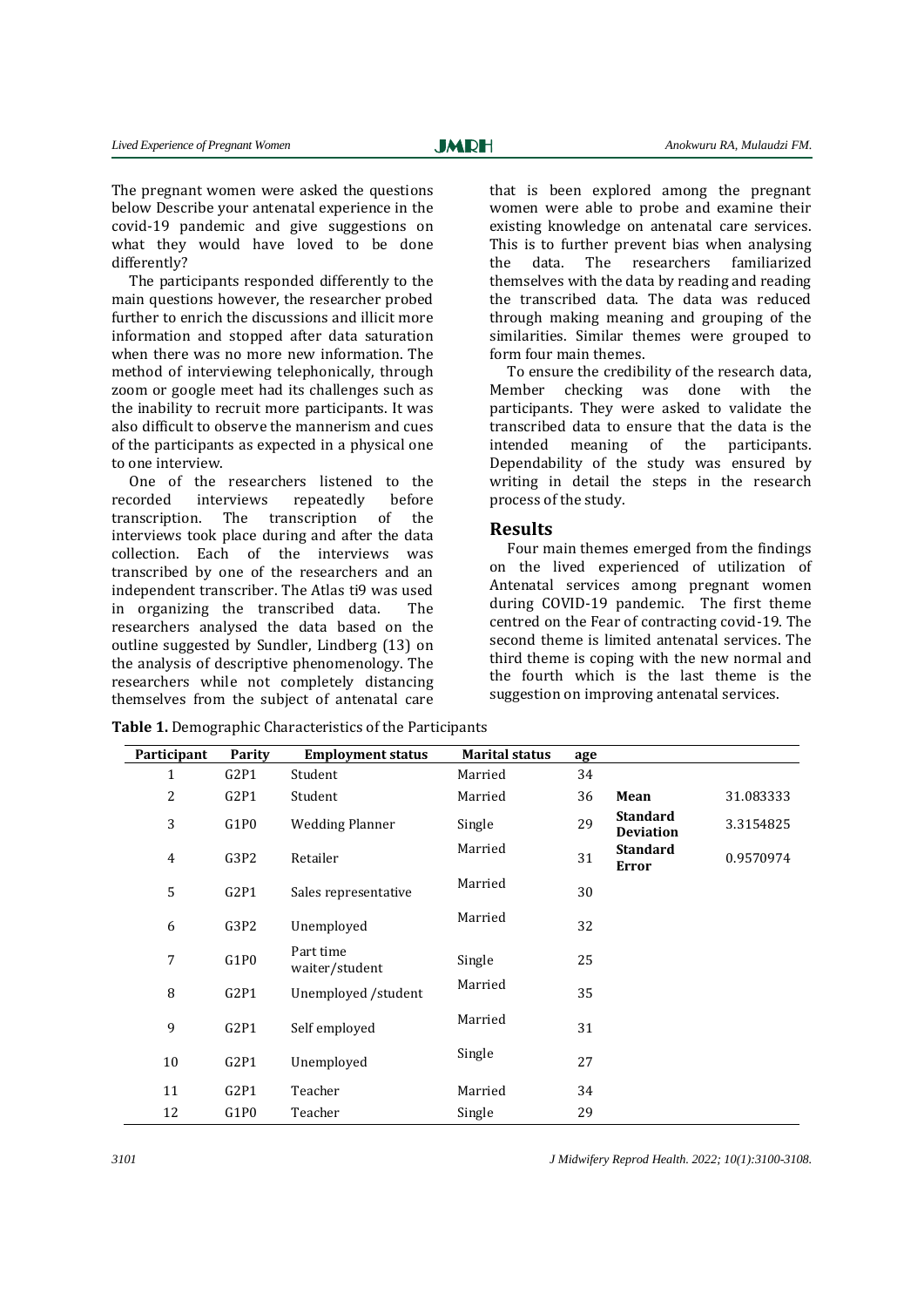The pregnant women were asked the questions below Describe your antenatal experience in the covid-19 pandemic and give suggestions on what they would have loved to be done differently?

The participants responded differently to the main questions however, the researcher probed further to enrich the discussions and illicit more information and stopped after data saturation when there was no more new information. The method of interviewing telephonically, through zoom or google meet had its challenges such as the inability to recruit more participants. It was also difficult to observe the mannerism and cues of the participants as expected in a physical one to one interview.

One of the researchers listened to the recorded interviews repeatedly before transcription. The transcription of the interviews took place during and after the data collection. Each of the interviews was transcribed by one of the researchers and an independent transcriber. The Atlas ti9 was used in organizing the transcribed data. The researchers analysed the data based on the outline suggested by Sundler, Lindberg (13) on the analysis of descriptive phenomenology. The researchers while not completely distancing themselves from the subject of antenatal care

that is been explored among the pregnant women were able to probe and examine their existing knowledge on antenatal care services. This is to further prevent bias when analysing the data. The researchers familiarized themselves with the data by reading and reading the transcribed data. The data was reduced through making meaning and grouping of the similarities. Similar themes were grouped to form four main themes.

To ensure the credibility of the research data, Member checking was done with the participants. They were asked to validate the transcribed data to ensure that the data is the intended meaning of the participants. Dependability of the study was ensured by writing in detail the steps in the research process of the study.

## **Results**

Four main themes emerged from the findings on the lived experienced of utilization of Antenatal services among pregnant women during COVID-19 pandemic. The first theme centred on the Fear of contracting covid-19. The second theme is limited antenatal services. The third theme is coping with the new normal and the fourth which is the last theme is the suggestion on improving antenatal services.

**Participant Parity Employment status Marital status age** 1 G2P1 Student Married 34 2 G2P1 Student Married 36 **Mean** 31.083333 <sup>3</sup> G1P0 Wedding Planner Single <sup>29</sup> **Standard Deviation** 3.3154825 4 G3P2 Retailer Married 31 **Standard Error** 0.9570974 <sup>5</sup> G2P1 Sales representative Married 30 <sup>6</sup> G3P2 Unemployed Married 32 <sup>7</sup> G1P0 Part time Part ume<br>waiter/student Single 25 <sup>8</sup> G2P1 Unemployed /student Married 35 <sup>9</sup> G2P1 Self employed Married <sup>31</sup> 10 G2P1 Unemployed Single 27 11 G2P1 Teacher Married 34 12 G1P0 Teacher Single 29

**Table 1.** Demographic Characteristics of the Participants

*3101 J Midwifery Reprod Health. 2022; 10(1):3100-3108.*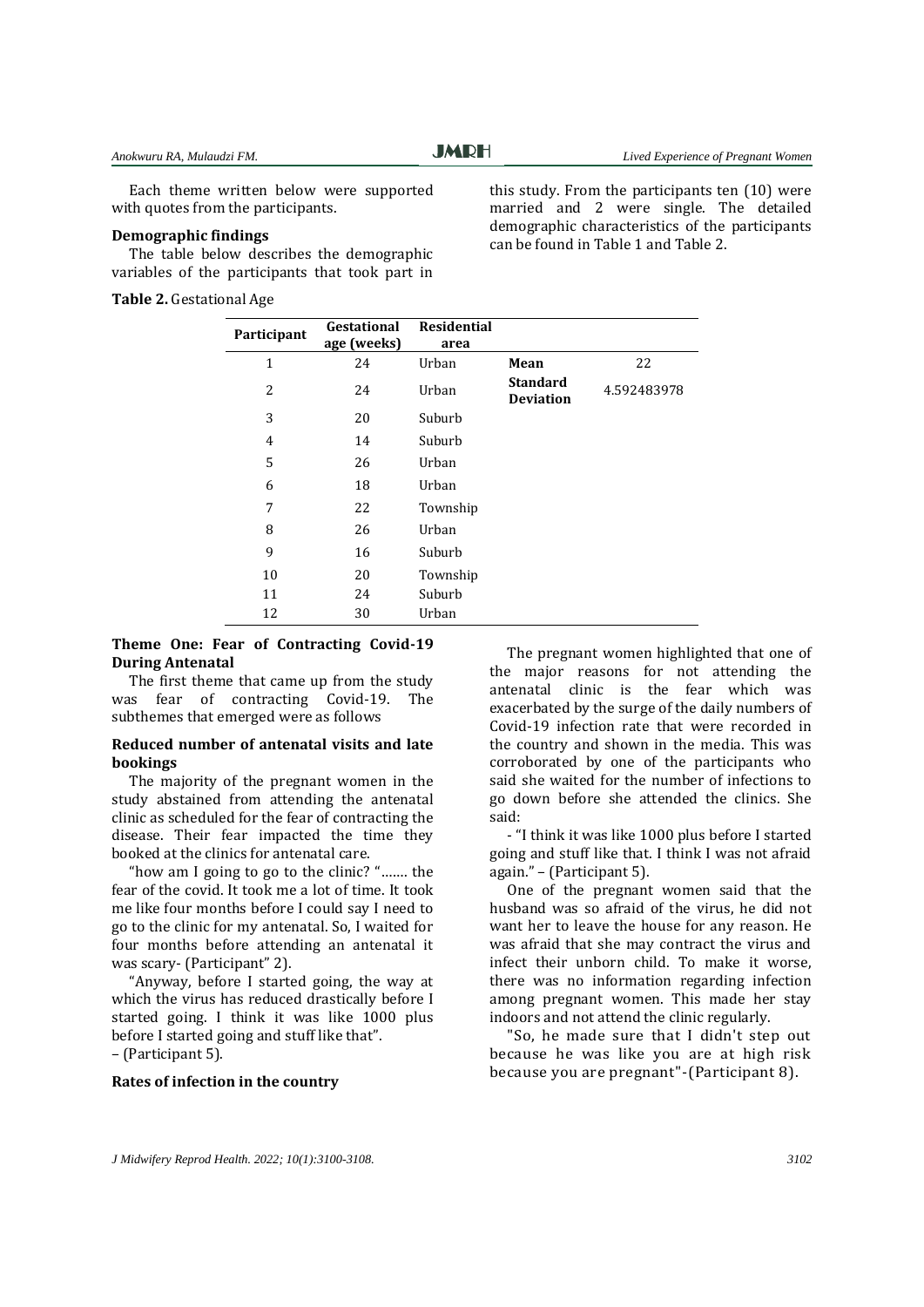Each theme written below were supported with quotes from the participants.

## **Demographic findings**

The table below describes the demographic variables of the participants that took part in

**Table 2.** Gestational Age

this study. From the participants ten (10) were married and 2 were single. The detailed demographic characteristics of the participants can be found in Table 1 and Table 2.

| 22<br>4.592483978 |
|-------------------|
|                   |
|                   |
|                   |
|                   |
|                   |
|                   |
|                   |
|                   |
|                   |
|                   |
|                   |
|                   |
|                   |

## **Theme One: Fear of Contracting Covid-19 During Antenatal**

The first theme that came up from the study was fear of contracting Covid-19. The subthemes that emerged were as follows

## **Reduced number of antenatal visits and late bookings**

The majority of the pregnant women in the study abstained from attending the antenatal clinic as scheduled for the fear of contracting the disease. Their fear impacted the time they booked at the clinics for antenatal care.

"how am I going to go to the clinic? "……. the fear of the covid. It took me a lot of time. It took me like four months before I could say I need to go to the clinic for my antenatal. So, I waited for four months before attending an antenatal it was scary- (Participant" 2).

"Anyway, before I started going, the way at which the virus has reduced drastically before I started going. I think it was like 1000 plus before I started going and stuff like that". – (Participant 5).

## **Rates of infection in the country**

The pregnant women highlighted that one of the major reasons for not attending the antenatal clinic is the fear which was exacerbated by the surge of the daily numbers of Covid-19 infection rate that were recorded in the country and shown in the media. This was corroborated by one of the participants who said she waited for the number of infections to go down before she attended the clinics. She said:

- "I think it was like 1000 plus before I started going and stuff like that. I think I was not afraid again." – (Participant 5).

One of the pregnant women said that the husband was so afraid of the virus, he did not want her to leave the house for any reason. He was afraid that she may contract the virus and infect their unborn child. To make it worse, there was no information regarding infection among pregnant women. This made her stay indoors and not attend the clinic regularly.

"So, he made sure that I didn't step out because he was like you are at high risk because you are pregnant"-(Participant 8).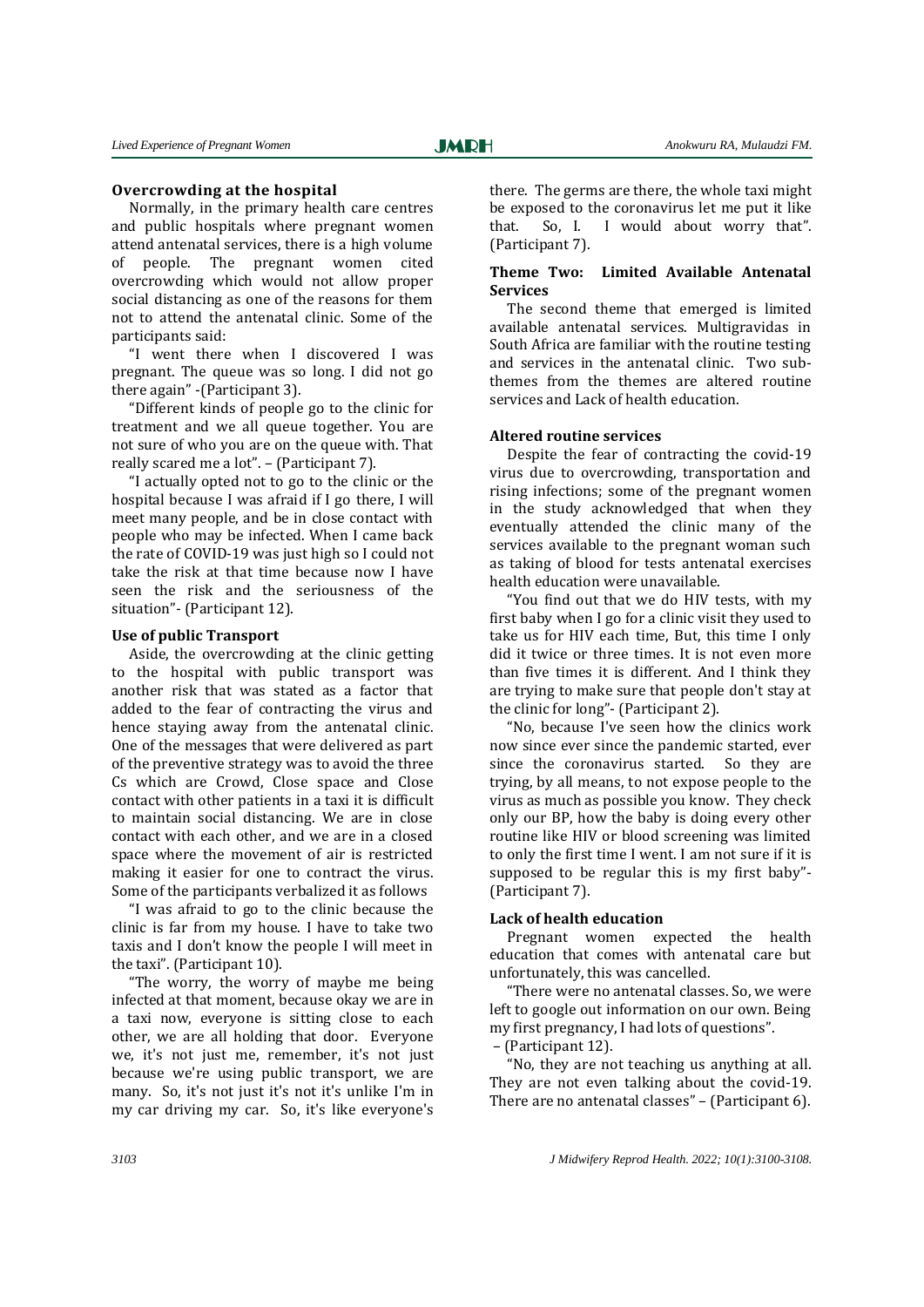## **Overcrowding at the hospital**

Normally, in the primary health care centres and public hospitals where pregnant women attend antenatal services, there is a high volume of people. The pregnant women cited overcrowding which would not allow proper social distancing as one of the reasons for them not to attend the antenatal clinic. Some of the participants said:

"I went there when I discovered I was pregnant. The queue was so long. I did not go there again" -(Participant 3).

"Different kinds of people go to the clinic for treatment and we all queue together. You are not sure of who you are on the queue with. That really scared me a lot". – (Participant 7).

"I actually opted not to go to the clinic or the hospital because I was afraid if I go there, I will meet many people, and be in close contact with people who may be infected. When I came back the rate of COVID-19 was just high so I could not take the risk at that time because now I have seen the risk and the seriousness of the situation"- (Participant 12).

## **Use of public Transport**

Aside, the overcrowding at the clinic getting to the hospital with public transport was another risk that was stated as a factor that added to the fear of contracting the virus and hence staying away from the antenatal clinic. One of the messages that were delivered as part of the preventive strategy was to avoid the three Cs which are Crowd, Close space and Close contact with other patients in a taxi it is difficult to maintain social distancing. We are in close contact with each other, and we are in a closed space where the movement of air is restricted making it easier for one to contract the virus. Some of the participants verbalized it as follows

"I was afraid to go to the clinic because the clinic is far from my house. I have to take two taxis and I don't know the people I will meet in the taxi". (Participant 10).

"The worry, the worry of maybe me being infected at that moment, because okay we are in a taxi now, everyone is sitting close to each other, we are all holding that door. Everyone we, it's not just me, remember, it's not just because we're using public transport, we are many. So, it's not just it's not it's unlike I'm in my car driving my car. So, it's like everyone's

there. The germs are there, the whole taxi might be exposed to the coronavirus let me put it like that. So, I. I would about worry that". (Participant 7).

## **Theme Two: Limited Available Antenatal Services**

The second theme that emerged is limited available antenatal services. Multigravidas in South Africa are familiar with the routine testing and services in the antenatal clinic. Two subthemes from the themes are altered routine services and Lack of health education.

## **Altered routine services**

Despite the fear of contracting the covid-19 virus due to overcrowding, transportation and rising infections; some of the pregnant women in the study acknowledged that when they eventually attended the clinic many of the services available to the pregnant woman such as taking of blood for tests antenatal exercises health education were unavailable.

"You find out that we do HIV tests, with my first baby when I go for a clinic visit they used to take us for HIV each time, But, this time I only did it twice or three times. It is not even more than five times it is different. And I think they are trying to make sure that people don't stay at the clinic for long"- (Participant 2).

"No, because I've seen how the clinics work now since ever since the pandemic started, ever since the coronavirus started. So they are trying, by all means, to not expose people to the virus as much as possible you know. They check only our BP, how the baby is doing every other routine like HIV or blood screening was limited to only the first time I went. I am not sure if it is supposed to be regular this is my first baby"- (Participant 7).

#### **Lack of health education**

Pregnant women expected the health education that comes with antenatal care but unfortunately, this was cancelled.

"There were no antenatal classes. So, we were left to google out information on our own. Being my first pregnancy, I had lots of questions".

– (Participant 12).

"No, they are not teaching us anything at all. They are not even talking about the covid-19. There are no antenatal classes" – (Participant 6).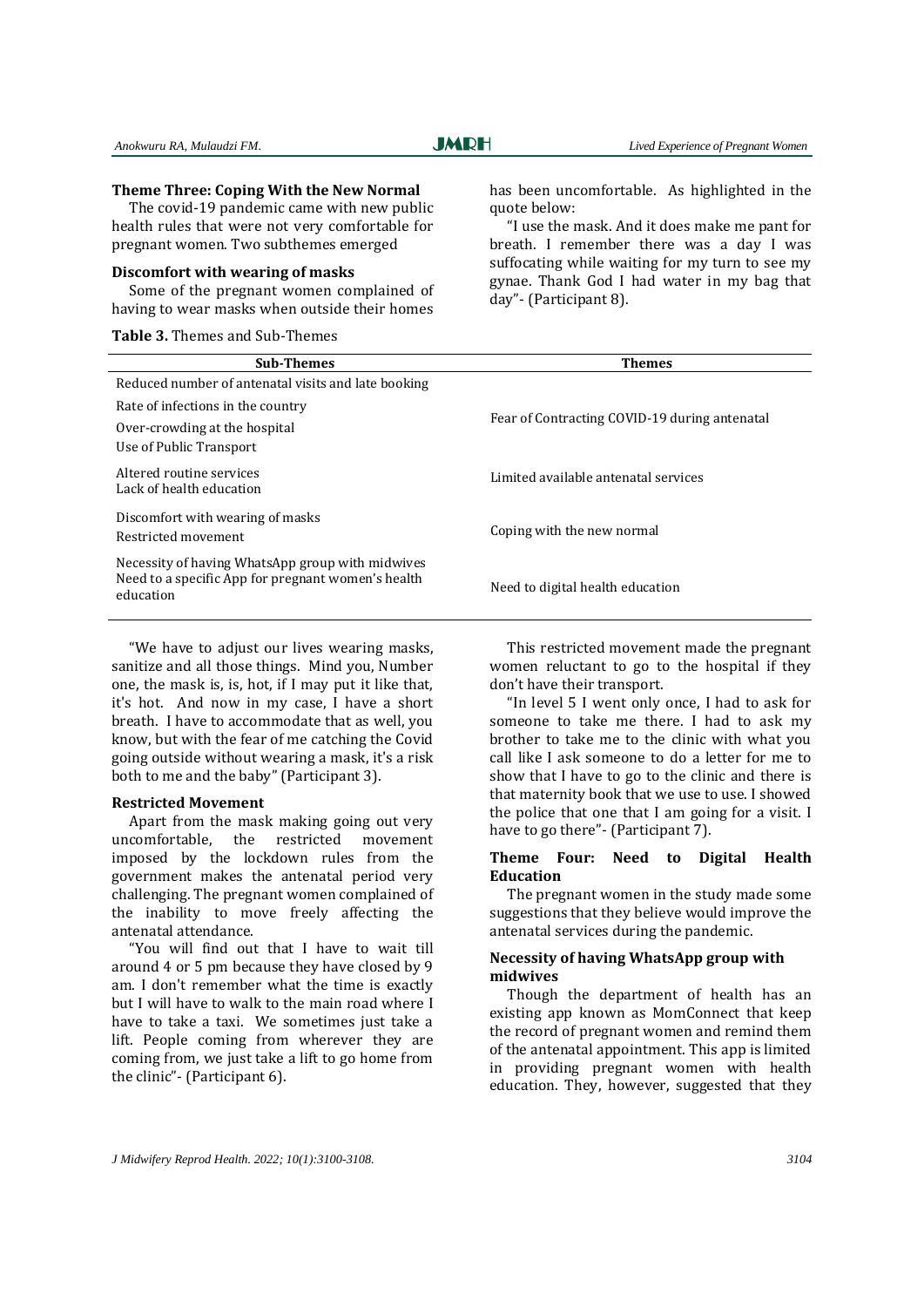## **Theme Three: Coping With the New Normal**

The covid-19 pandemic came with new public health rules that were not very comfortable for pregnant women. Two subthemes emerged

### **Discomfort with wearing of masks**

Some of the pregnant women complained of having to wear masks when outside their homes

**Table 3.** Themes and Sub-Themes

has been uncomfortable. As highlighted in the quote below:

"I use the mask. And it does make me pant for breath. I remember there was a day I was suffocating while waiting for my turn to see my gynae. Thank God I had water in my bag that day"- (Participant 8).

| <b>Sub-Themes</b>                                                                                                   | <b>Themes</b>                                 |  |
|---------------------------------------------------------------------------------------------------------------------|-----------------------------------------------|--|
| Reduced number of antenatal visits and late booking                                                                 |                                               |  |
| Rate of infections in the country                                                                                   |                                               |  |
| Over-crowding at the hospital<br>Use of Public Transport                                                            | Fear of Contracting COVID-19 during antenatal |  |
|                                                                                                                     |                                               |  |
| Altered routine services<br>Lack of health education                                                                | Limited available antenatal services          |  |
| Discomfort with wearing of masks<br>Restricted movement                                                             | Coping with the new normal                    |  |
| Necessity of having WhatsApp group with midwives<br>Need to a specific App for pregnant women's health<br>education | Need to digital health education              |  |

"We have to adjust our lives wearing masks, sanitize and all those things. Mind you, Number one, the mask is, is, hot, if I may put it like that, it's hot. And now in my case, I have a short breath. I have to accommodate that as well, you know, but with the fear of me catching the Covid going outside without wearing a mask, it's a risk both to me and the baby" (Participant 3).

#### **Restricted Movement**

Apart from the mask making going out very uncomfortable, the restricted movement imposed by the lockdown rules from the government makes the antenatal period very challenging. The pregnant women complained of the inability to move freely affecting the antenatal attendance.

"You will find out that I have to wait till around 4 or 5 pm because they have closed by 9 am. I don't remember what the time is exactly but I will have to walk to the main road where I have to take a taxi. We sometimes just take a lift. People coming from wherever they are coming from, we just take a lift to go home from the clinic"- (Participant 6).

This restricted movement made the pregnant women reluctant to go to the hospital if they don't have their transport.

"In level 5 I went only once, I had to ask for someone to take me there. I had to ask my brother to take me to the clinic with what you call like I ask someone to do a letter for me to show that I have to go to the clinic and there is that maternity book that we use to use. I showed the police that one that I am going for a visit. I have to go there"- (Participant 7).

## **Theme Four: Need to Digital Health Education**

The pregnant women in the study made some suggestions that they believe would improve the antenatal services during the pandemic.

## **Necessity of having WhatsApp group with midwives**

Though the department of health has an existing app known as MomConnect that keep the record of pregnant women and remind them of the antenatal appointment. This app is limited in providing pregnant women with health education. They, however, suggested that they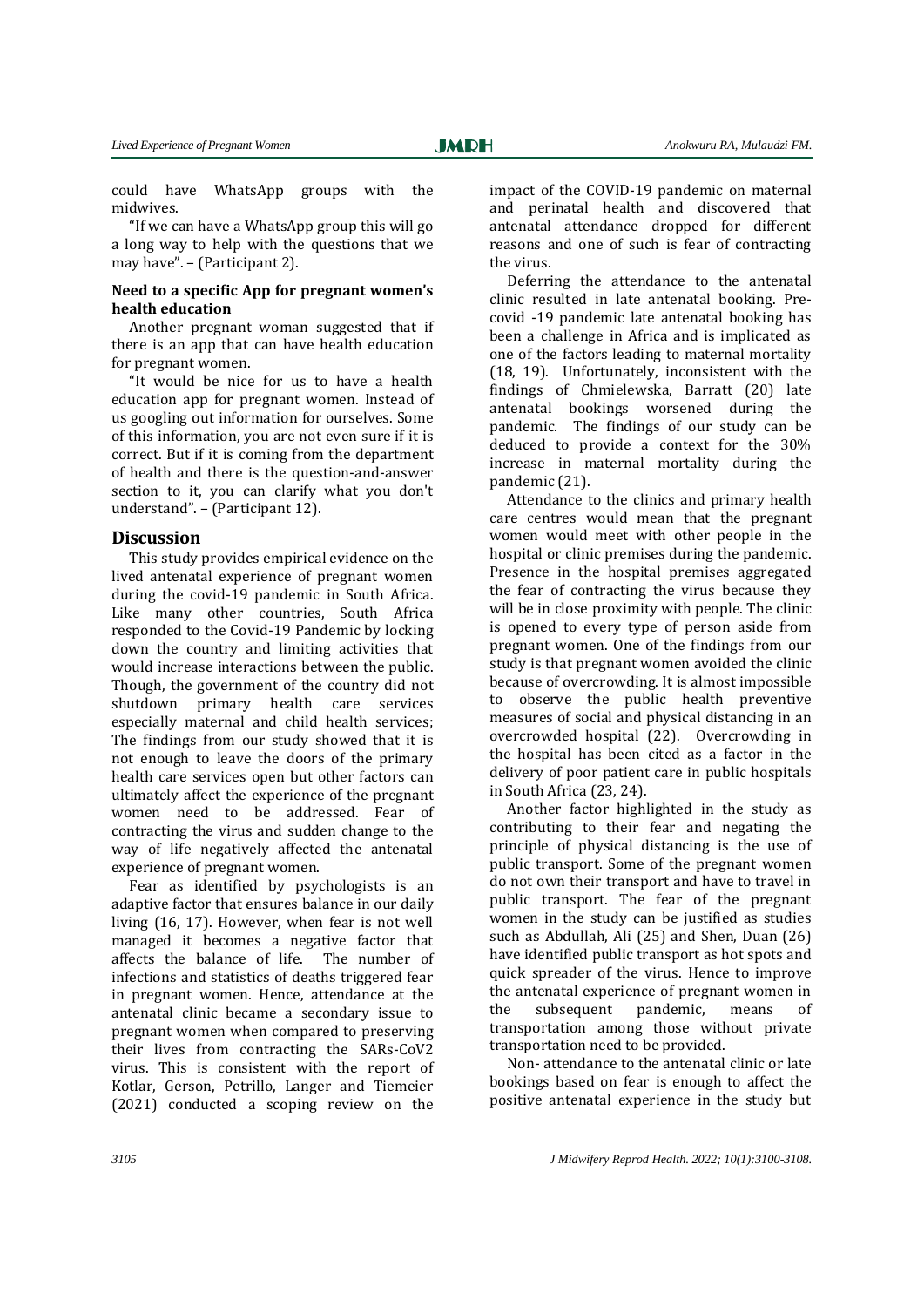could have WhatsApp groups with the midwives.

"If we can have a WhatsApp group this will go a long way to help with the questions that we may have". – (Participant 2).

## **Need to a specific App for pregnant women's health education**

Another pregnant woman suggested that if there is an app that can have health education for pregnant women.

"It would be nice for us to have a health education app for pregnant women. Instead of us googling out information for ourselves. Some of this information, you are not even sure if it is correct. But if it is coming from the department of health and there is the question-and-answer section to it, you can clarify what you don't understand". – (Participant 12).

## **Discussion**

This study provides empirical evidence on the lived antenatal experience of pregnant women during the covid-19 pandemic in South Africa. Like many other countries, South Africa responded to the Covid-19 Pandemic by locking down the country and limiting activities that would increase interactions between the public. Though, the government of the country did not shutdown primary health care services especially maternal and child health services; The findings from our study showed that it is not enough to leave the doors of the primary health care services open but other factors can ultimately affect the experience of the pregnant women need to be addressed. Fear of contracting the virus and sudden change to the way of life negatively affected the antenatal experience of pregnant women.

Fear as identified by psychologists is an adaptive factor that ensures balance in our daily living (16, 17). However, when fear is not well managed it becomes a negative factor that affects the balance of life. The number of infections and statistics of deaths triggered fear in pregnant women. Hence, attendance at the antenatal clinic became a secondary issue to pregnant women when compared to preserving their lives from contracting the SARs-CoV2 virus. This is consistent with the report of Kotlar, Gerson, Petrillo, Langer and Tiemeier (2021) conducted a scoping review on the

impact of the COVID-19 pandemic on maternal and perinatal health and discovered that antenatal attendance dropped for different reasons and one of such is fear of contracting the virus.

Deferring the attendance to the antenatal clinic resulted in late antenatal booking. Precovid -19 pandemic late antenatal booking has been a challenge in Africa and is implicated as one of the factors leading to maternal mortality (18, 19). Unfortunately, inconsistent with the findings of Chmielewska, Barratt (20) late antenatal bookings worsened during the pandemic. The findings of our study can be deduced to provide a context for the 30% increase in maternal mortality during the pandemic (21).

Attendance to the clinics and primary health care centres would mean that the pregnant women would meet with other people in the hospital or clinic premises during the pandemic. Presence in the hospital premises aggregated the fear of contracting the virus because they will be in close proximity with people. The clinic is opened to every type of person aside from pregnant women. One of the findings from our study is that pregnant women avoided the clinic because of overcrowding. It is almost impossible to observe the public health preventive measures of social and physical distancing in an overcrowded hospital (22). Overcrowding in the hospital has been cited as a factor in the delivery of poor patient care in public hospitals in South Africa (23, 24).

Another factor highlighted in the study as contributing to their fear and negating the principle of physical distancing is the use of public transport. Some of the pregnant women do not own their transport and have to travel in public transport. The fear of the pregnant women in the study can be justified as studies such as Abdullah, Ali (25) and Shen, Duan (26) have identified public transport as hot spots and quick spreader of the virus. Hence to improve the antenatal experience of pregnant women in the subsequent pandemic, means of transportation among those without private transportation need to be provided.

Non- attendance to the antenatal clinic or late bookings based on fear is enough to affect the positive antenatal experience in the study but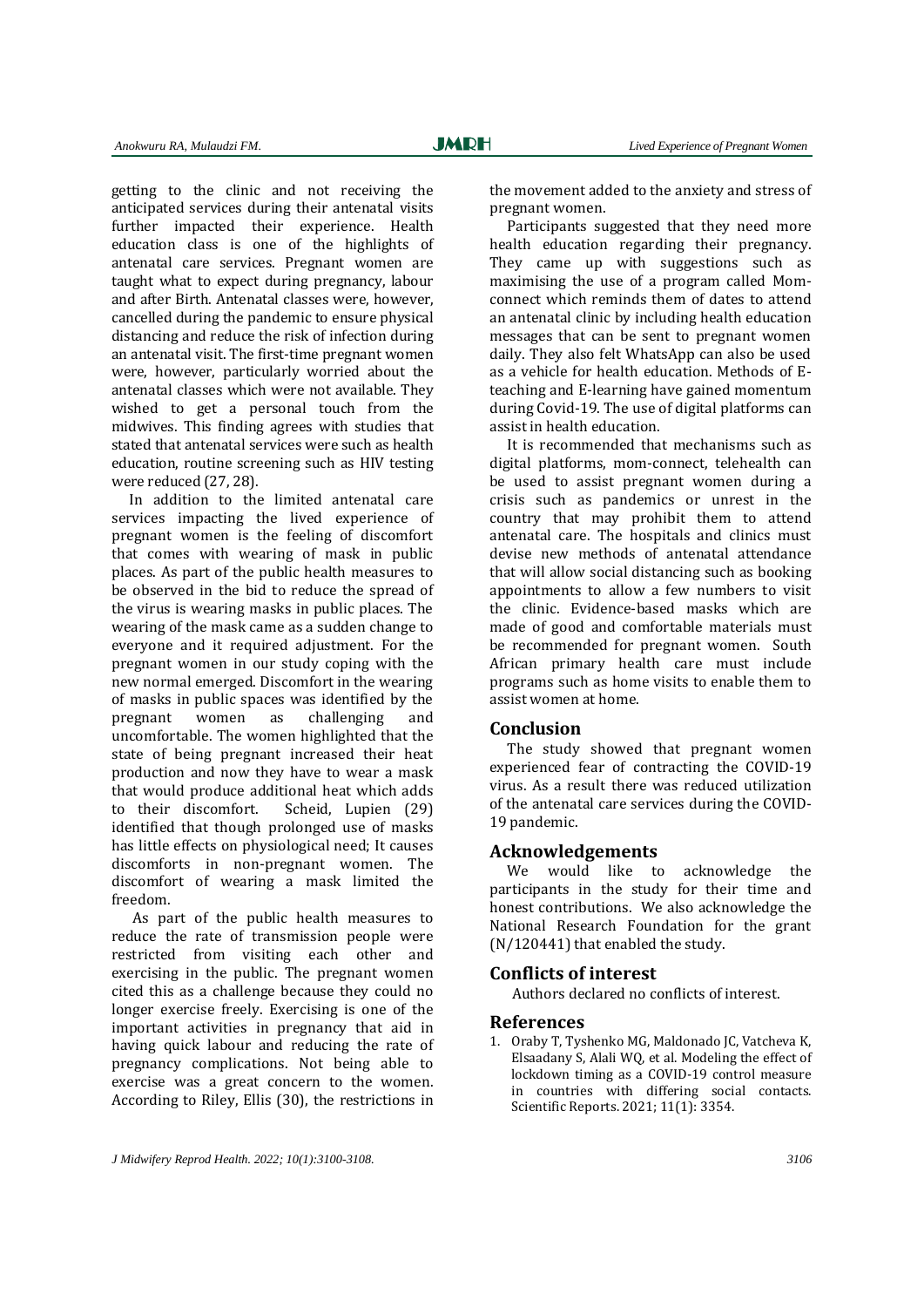getting to the clinic and not receiving the anticipated services during their antenatal visits further impacted their experience. Health education class is one of the highlights of antenatal care services. Pregnant women are taught what to expect during pregnancy, labour and after Birth. Antenatal classes were, however, cancelled during the pandemic to ensure physical distancing and reduce the risk of infection during an antenatal visit. The first-time pregnant women were, however, particularly worried about the antenatal classes which were not available. They wished to get a personal touch from the midwives. This finding agrees with studies that stated that antenatal services were such as health education, routine screening such as HIV testing were reduced (27, 28).

In addition to the limited antenatal care services impacting the lived experience of pregnant women is the feeling of discomfort that comes with wearing of mask in public places. As part of the public health measures to be observed in the bid to reduce the spread of the virus is wearing masks in public places. The wearing of the mask came as a sudden change to everyone and it required adjustment. For the pregnant women in our study coping with the new normal emerged. Discomfort in the wearing of masks in public spaces was identified by the pregnant women as challenging and uncomfortable. The women highlighted that the state of being pregnant increased their heat production and now they have to wear a mask that would produce additional heat which adds to their discomfort. Scheid, Lupien (29) identified that though prolonged use of masks has little effects on physiological need; It causes discomforts in non-pregnant women. The discomfort of wearing a mask limited the freedom.

As part of the public health measures to reduce the rate of transmission people were restricted from visiting each other and exercising in the public. The pregnant women cited this as a challenge because they could no longer exercise freely. Exercising is one of the important activities in pregnancy that aid in having quick labour and reducing the rate of pregnancy complications. Not being able to exercise was a great concern to the women. According to Riley, Ellis (30), the restrictions in

the movement added to the anxiety and stress of pregnant women.

Participants suggested that they need more health education regarding their pregnancy. They came up with suggestions such as maximising the use of a program called Momconnect which reminds them of dates to attend an antenatal clinic by including health education messages that can be sent to pregnant women daily. They also felt WhatsApp can also be used as a vehicle for health education. Methods of Eteaching and E-learning have gained momentum during Covid-19. The use of digital platforms can assist in health education.

It is recommended that mechanisms such as digital platforms, mom-connect, telehealth can be used to assist pregnant women during a crisis such as pandemics or unrest in the country that may prohibit them to attend antenatal care. The hospitals and clinics must devise new methods of antenatal attendance that will allow social distancing such as booking appointments to allow a few numbers to visit the clinic. Evidence-based masks which are made of good and comfortable materials must be recommended for pregnant women. South African primary health care must include programs such as home visits to enable them to assist women at home.

## **Conclusion**

The study showed that pregnant women experienced fear of contracting the COVID-19 virus. As a result there was reduced utilization of the antenatal care services during the COVID-19 pandemic.

## **Acknowledgements**

We would like to acknowledge the participants in the study for their time and honest contributions. We also acknowledge the National Research Foundation for the grant (N/120441) that enabled the study.

## **Conflicts of interest**

Authors declared no conflicts of interest.

#### **References**

1. Oraby T, Tyshenko MG, Maldonado JC, Vatcheva K, Elsaadany S, Alali WQ, et al. Modeling the effect of lockdown timing as a COVID-19 control measure in countries with differing social contacts. Scientific Reports. 2021; 11(1): 3354.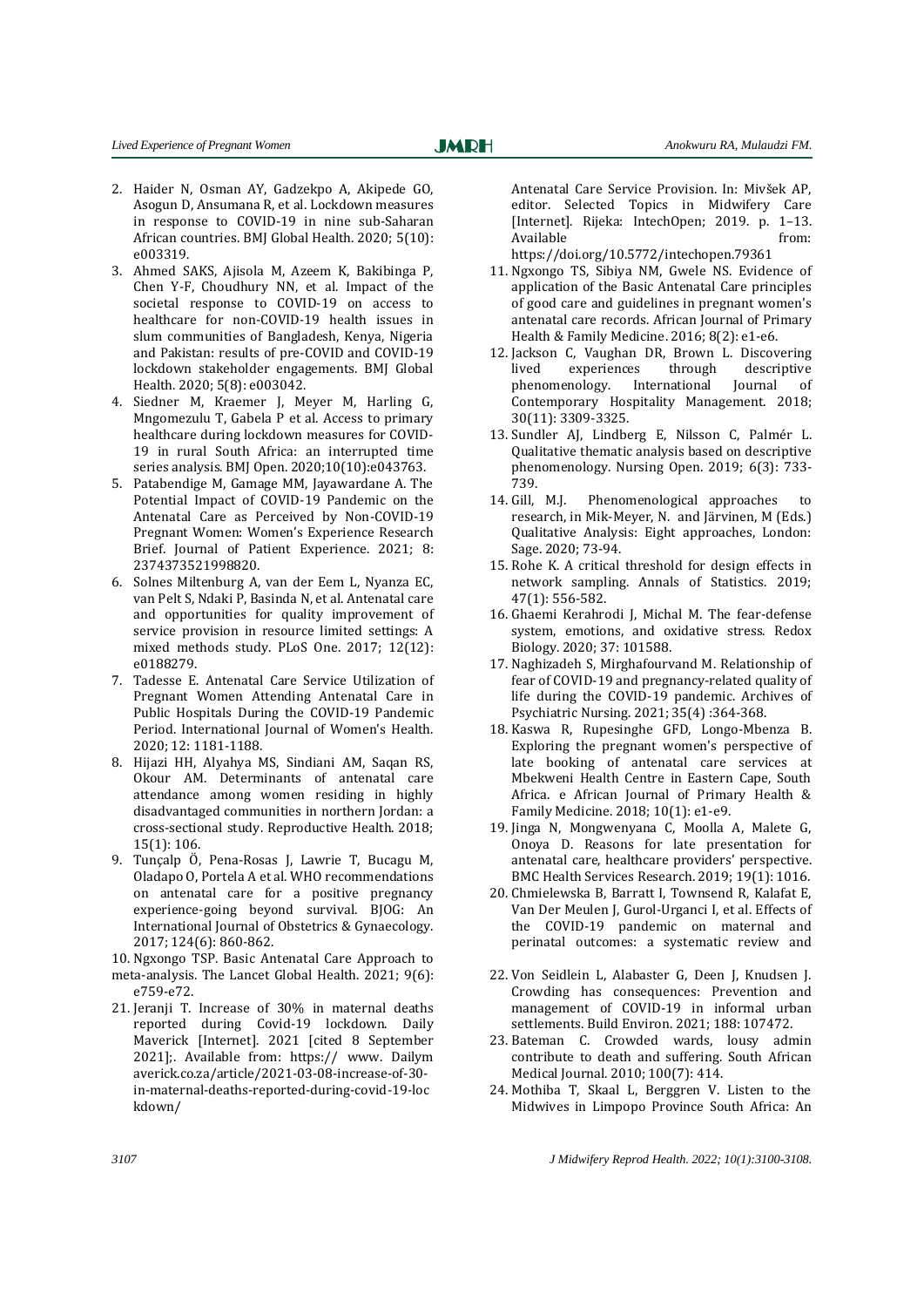- 2. Haider N, Osman AY, Gadzekpo A, Akipede GO, Asogun D, Ansumana R, et al. Lockdown measures in response to COVID-19 in nine sub-Saharan African countries. BMJ Global Health. 2020; 5(10): e003319.
- 3. Ahmed SAKS, Ajisola M, Azeem K, Bakibinga P, Chen Y-F, Choudhury NN, et al. Impact of the societal response to COVID-19 on access to healthcare for non-COVID-19 health issues in slum communities of Bangladesh, Kenya, Nigeria and Pakistan: results of pre-COVID and COVID-19 lockdown stakeholder engagements. BMJ Global Health. 2020; 5(8): e003042.
- 4. Siedner M, Kraemer J, Meyer M, Harling G, Mngomezulu T, Gabela P et al. Access to primary healthcare during lockdown measures for COVID-19 in rural South Africa: an interrupted time series analysis. BMJ Open. 2020;10(10):e043763.
- 5. Patabendige M, Gamage MM, Jayawardane A. The Potential Impact of COVID-19 Pandemic on the Antenatal Care as Perceived by Non-COVID-19 Pregnant Women: Women's Experience Research Brief. Journal of Patient Experience. 2021; 8: 2374373521998820.
- 6. Solnes Miltenburg A, van der Eem L, Nyanza EC, van Pelt S, Ndaki P, Basinda N, et al. Antenatal care and opportunities for quality improvement of service provision in resource limited settings: A mixed methods study. PLoS One. 2017; 12(12): e0188279.
- 7. Tadesse E. Antenatal Care Service Utilization of Pregnant Women Attending Antenatal Care in Public Hospitals During the COVID-19 Pandemic Period. International Journal of Women's Health. 2020; 12: 1181-1188.
- 8. Hijazi HH, Alyahya MS, Sindiani AM, Saqan RS, Okour AM. Determinants of antenatal care attendance among women residing in highly disadvantaged communities in northern Jordan: a cross-sectional study. Reproductive Health. 2018; 15(1): 106.
- 9. Tunçalp Ӧ, Pena-Rosas J, Lawrie T, Bucagu M, Oladapo O, Portela A et al. WHO recommendations on antenatal care for a positive pregnancy experience-going beyond survival. BJOG: An International Journal of Obstetrics & Gynaecology. 2017; 124(6): 860-862.

10. Ngxongo TSP. Basic Antenatal Care Approach to meta-analysis. The Lancet Global Health. 2021; 9(6): e759-e72.

21. Jeranji T. Increase of 30% in maternal deaths reported during Covid-19 lockdown. Daily Maverick [Internet]. 2021 [cited 8 September 2021];. Available from: https:// www. Dailym averick.co.za/article/2021-03-08-increase-of-30 in-maternal-deaths-reported-during-covid-19-loc kdown/

Antenatal Care Service Provision. In: Mivšek AP, editor. Selected Topics in Midwifery Care [Internet]. Rijeka: IntechOpen; 2019. p. 1–13. Available from: https://doi.org/10.5772/intechopen.79361

- 11. Ngxongo TS, Sibiya NM, Gwele NS. Evidence of application of the Basic Antenatal Care principles of good care and guidelines in pregnant women's antenatal care records. African Journal of Primary Health & Family Medicine. 2016; 8(2): e1-e6.
- 12. Jackson C, Vaughan DR, Brown L. Discovering lived experiences through descriptive phenomenology. International Journal of Contemporary Hospitality Management. 2018; 30(11): 3309-3325.
- 13. Sundler AJ, Lindberg E, Nilsson C, Palmér L. Qualitative thematic analysis based on descriptive phenomenology. Nursing Open. 2019; 6(3): 733- 739.
- 14. Gill, M.J. Phenomenological approaches to research, in Mik-Meyer, N. and Järvinen, M (Eds.) Qualitative Analysis: Eight approaches, London: Sage. 2020; 73-94.
- 15. Rohe K. A critical threshold for design effects in network sampling. Annals of Statistics. 2019; 47(1): 556-582.
- 16. Ghaemi Kerahrodi J, Michal M. The fear-defense system, emotions, and oxidative stress. Redox Biology. 2020; 37: 101588.
- 17. Naghizadeh S, Mirghafourvand M. Relationship of fear of COVID-19 and pregnancy-related quality of life during the COVID-19 pandemic. Archives of Psychiatric Nursing. 2021; 35(4) :364-368.
- 18. Kaswa R, Rupesinghe GFD, Longo-Mbenza B. Exploring the pregnant women's perspective of late booking of antenatal care services at Mbekweni Health Centre in Eastern Cape, South Africa. e African Journal of Primary Health & Family Medicine. 2018; 10(1): e1-e9.
- 19. Jinga N, Mongwenyana C, Moolla A, Malete G, Onoya D. Reasons for late presentation for antenatal care, healthcare providers' perspective. BMC Health Services Research. 2019; 19(1): 1016.
- 20. Chmielewska B, Barratt I, Townsend R, Kalafat E, Van Der Meulen J, Gurol-Urganci I, et al. Effects of the COVID-19 pandemic on maternal and perinatal outcomes: a systematic review and
- 22. Von Seidlein L, Alabaster G, Deen J, Knudsen J. Crowding has consequences: Prevention and management of COVID-19 in informal urban settlements. Build Environ. 2021; 188: 107472.
- 23. Bateman C. Crowded wards, lousy admin contribute to death and suffering. South African Medical Journal. 2010; 100(7): 414.
- 24. Mothiba T, Skaal L, Berggren V. Listen to the Midwives in Limpopo Province South Africa: An

*3107 J Midwifery Reprod Health. 2022; 10(1):3100-3108.*